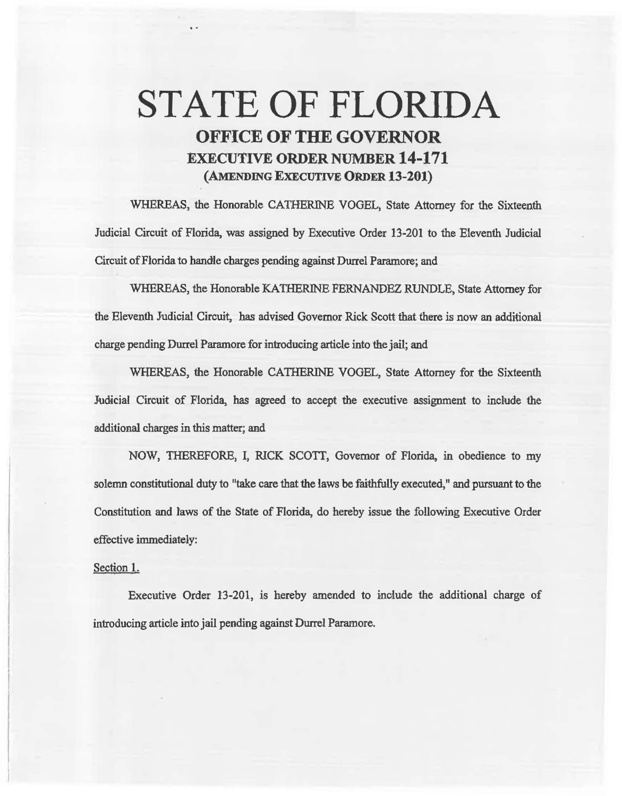## STATE OF FLORIDA OFFICE OF THE GOVERNOR EXECUTIVE ORDER NUMBER 14-171 (AMENDING EXECUTIVE ORDER 13-201)

WHEREAS, the Honorable CATHERINE VOGEL, State Attorney for the Sixteenth Judicial Circuit of Florida, was assigned by Executive Order 13-201 to the Eleventh Judicial Circuit of Florida to handle charges pending against Durre! Paramore; and

WHEREAS, the Honorable KATHERINE FERNANDEZ RUNDLE, State Attorney for the Eleventh Judicial Circuit, has advised Governor Rick Scott that there is now an additional charge pending Durrel Paramore for introducing article into the jail; and

WHEREAS, the Honorable CATHERINE VOGEL, State Attorney for the Sixteenth Judicial Circuit of Florida, has agreed to accept the executive assignment to include the additional charges in this matter; and

NOW, THEREFORE, I, RICK SCOTT, Governor of Florida, in obedience to my solemn constitutional duty to "take care that the laws be faithfully executed," and pursuant to the Constitution and laws of the State of Florida, do hereby issue the following Executive Order effective immediately:

## Section 1.

Executive Order 13-201, is hereby amended to include the additional charge of introducing article into jail pending against Durre! Paramore.